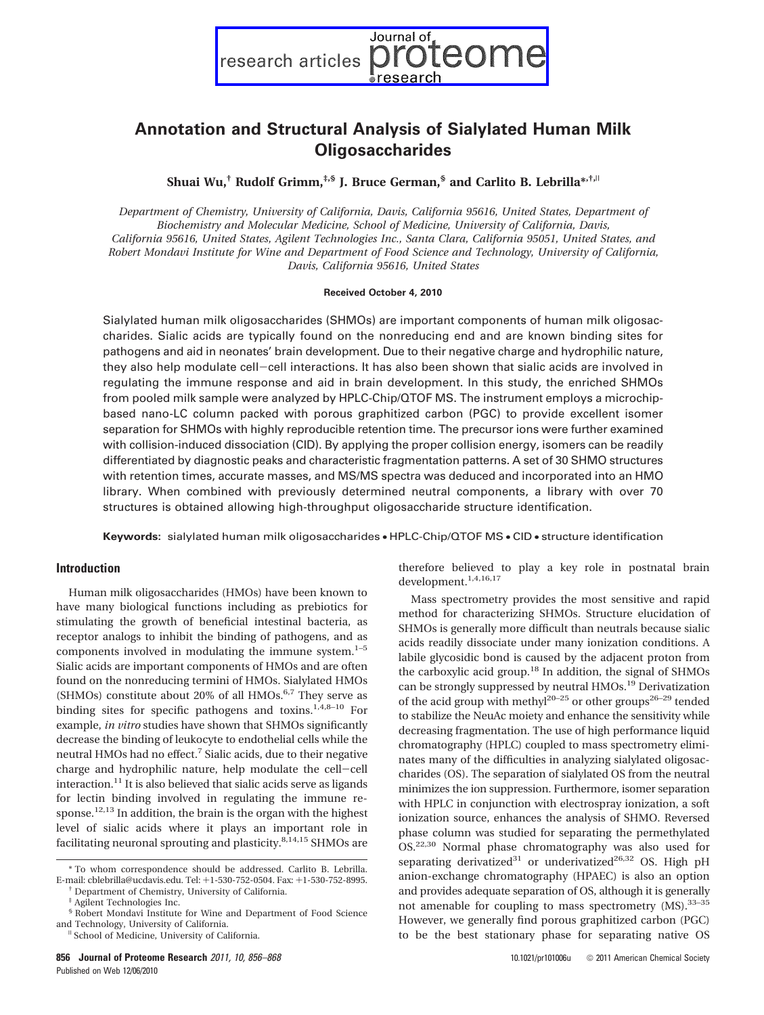Journal of research articles  $\mathcal C$ 

# **Annotation and Structural Analysis of Sialylated Human Milk Oligosaccharides**

**Shuai Wu,† Rudolf Grimm,‡,§ J. Bruce German,§ and Carlito B. Lebrilla\*,†,**<sup>|</sup>

*Department of Chemistry, University of California, Davis, California 95616, United States, Department of Biochemistry and Molecular Medicine, School of Medicine, University of California, Davis, California 95616, United States, Agilent Technologies Inc., Santa Clara, California 95051, United States, and Robert Mondavi Institute for Wine and Department of Food Science and Technology, University of California, Davis, California 95616, United States*

### **Received October 4, 2010**

Sialylated human milk oligosaccharides (SHMOs) are important components of human milk oligosaccharides. Sialic acids are typically found on the nonreducing end and are known binding sites for pathogens and aid in neonates' brain development. Due to their negative charge and hydrophilic nature, they also help modulate cell-cell interactions. It has also been shown that sialic acids are involved in regulating the immune response and aid in brain development. In this study, the enriched SHMOs from pooled milk sample were analyzed by HPLC-Chip/QTOF MS. The instrument employs a microchipbased nano-LC column packed with porous graphitized carbon (PGC) to provide excellent isomer separation for SHMOs with highly reproducible retention time. The precursor ions were further examined with collision-induced dissociation (CID). By applying the proper collision energy, isomers can be readily differentiated by diagnostic peaks and characteristic fragmentation patterns. A set of 30 SHMO structures with retention times, accurate masses, and MS/MS spectra was deduced and incorporated into an HMO library. When combined with previously determined neutral components, a library with over 70 structures is obtained allowing high-throughput oligosaccharide structure identification.

**Keywords:** sialylated human milk oligosaccharides • HPLC-Chip/QTOF MS • CID • structure identification

## **Introduction**

Human milk oligosaccharides (HMOs) have been known to have many biological functions including as prebiotics for stimulating the growth of beneficial intestinal bacteria, as receptor analogs to inhibit the binding of pathogens, and as components involved in modulating the immune system. $1-5$ Sialic acids are important components of HMOs and are often found on the nonreducing termini of HMOs. Sialylated HMOs (SHMOs) constitute about 20% of all HMOs. $6,7$  They serve as binding sites for specific pathogens and toxins.<sup>1,4,8–10</sup> For example, *in vitro* studies have shown that SHMOs significantly decrease the binding of leukocyte to endothelial cells while the neutral HMOs had no effect.7 Sialic acids, due to their negative charge and hydrophilic nature, help modulate the cell-cell interaction.<sup>11</sup> It is also believed that sialic acids serve as ligands for lectin binding involved in regulating the immune response.<sup>12,13</sup> In addition, the brain is the organ with the highest level of sialic acids where it plays an important role in facilitating neuronal sprouting and plasticity. $8,14,15$  SHMOs are

therefore believed to play a key role in postnatal brain development.<sup>1,4,16,17</sup>

Mass spectrometry provides the most sensitive and rapid method for characterizing SHMOs. Structure elucidation of SHMOs is generally more difficult than neutrals because sialic acids readily dissociate under many ionization conditions. A labile glycosidic bond is caused by the adjacent proton from the carboxylic acid group.<sup>18</sup> In addition, the signal of SHMOs can be strongly suppressed by neutral HMOs.<sup>19</sup> Derivatization of the acid group with methyl<sup>20–25</sup> or other groups<sup>26–29</sup> tended to stabilize the NeuAc moiety and enhance the sensitivity while decreasing fragmentation. The use of high performance liquid chromatography (HPLC) coupled to mass spectrometry eliminates many of the difficulties in analyzing sialylated oligosaccharides (OS). The separation of sialylated OS from the neutral minimizes the ion suppression. Furthermore, isomer separation with HPLC in conjunction with electrospray ionization, a soft ionization source, enhances the analysis of SHMO. Reversed phase column was studied for separating the permethylated OS.22,30 Normal phase chromatography was also used for separating derivatized<sup>31</sup> or underivatized<sup>26,32</sup> OS. High pH anion-exchange chromatography (HPAEC) is also an option and provides adequate separation of OS, although it is generally not amenable for coupling to mass spectrometry (MS).33–35 However, we generally find porous graphitized carbon (PGC) to be the best stationary phase for separating native OS

<sup>\*</sup> To whom correspondence should be addressed. Carlito B. Lebrilla. E-mail: cblebrilla@ucdavis.edu. Tel: <sup>+</sup>1-530-752-0504. Fax: <sup>+</sup>1-530-752-8995. † Department of Chemistry, University of California.

<sup>‡</sup> Agilent Technologies Inc.

<sup>§</sup> Robert Mondavi Institute for Wine and Department of Food Science

<sup>&</sup>lt;sup>II</sup> School of Medicine, University of California.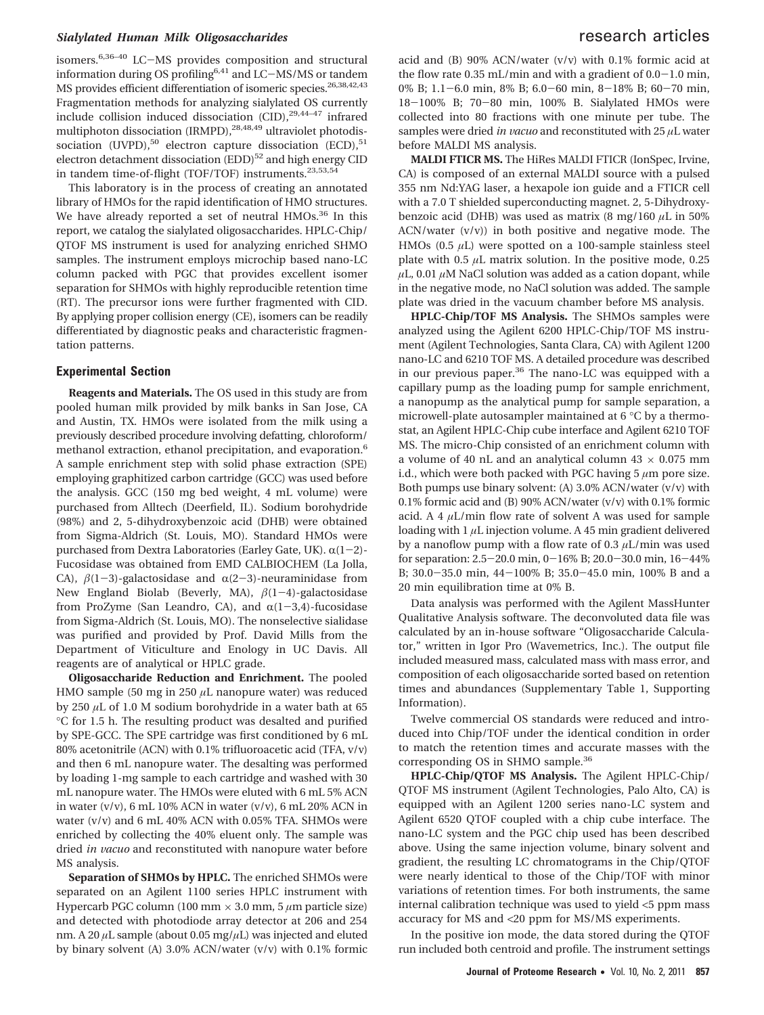# *Sialylated Human Milk Oligosaccharides* research articles

isomers.6,36–40 LC-MS provides composition and structural information during OS profiling<sup>6,41</sup> and LC-MS/MS or tandem MS provides efficient differentiation of isomeric species.<sup>26,38,42,43</sup> Fragmentation methods for analyzing sialylated OS currently include collision induced dissociation  $(CID)$ , <sup>29,44-47</sup> infrared multiphoton dissociation (IRMPD),<sup>28,48,49</sup> ultraviolet photodissociation (UVPD),<sup>50</sup> electron capture dissociation (ECD),<sup>51</sup> electron detachment dissociation  $(EDD)^{52}$  and high energy CID in tandem time-of-flight (TOF/TOF) instruments.<sup>23,53,54</sup>

This laboratory is in the process of creating an annotated library of HMOs for the rapid identification of HMO structures. We have already reported a set of neutral HMOs.<sup>36</sup> In this report, we catalog the sialylated oligosaccharides. HPLC-Chip/ QTOF MS instrument is used for analyzing enriched SHMO samples. The instrument employs microchip based nano-LC column packed with PGC that provides excellent isomer separation for SHMOs with highly reproducible retention time (RT). The precursor ions were further fragmented with CID. By applying proper collision energy (CE), isomers can be readily differentiated by diagnostic peaks and characteristic fragmentation patterns.

## **Experimental Section**

**Reagents and Materials.** The OS used in this study are from pooled human milk provided by milk banks in San Jose, CA and Austin, TX. HMOs were isolated from the milk using a previously described procedure involving defatting, chloroform/ methanol extraction, ethanol precipitation, and evaporation.<sup>6</sup> A sample enrichment step with solid phase extraction (SPE) employing graphitized carbon cartridge (GCC) was used before the analysis. GCC (150 mg bed weight, 4 mL volume) were purchased from Alltech (Deerfield, IL). Sodium borohydride (98%) and 2, 5-dihydroxybenzoic acid (DHB) were obtained from Sigma-Aldrich (St. Louis, MO). Standard HMOs were purchased from Dextra Laboratories (Earley Gate, UK).  $\alpha(1-2)$ -Fucosidase was obtained from EMD CALBIOCHEM (La Jolla, CA),  $\beta(1-3)$ -galactosidase and  $\alpha(2-3)$ -neuraminidase from New England Biolab (Beverly, MA),  $\beta(1-4)$ -galactosidase from ProZyme (San Leandro, CA), and  $\alpha(1-3,4)$ -fucosidase from Sigma-Aldrich (St. Louis, MO). The nonselective sialidase was purified and provided by Prof. David Mills from the Department of Viticulture and Enology in UC Davis. All reagents are of analytical or HPLC grade.

**Oligosaccharide Reduction and Enrichment.** The pooled HMO sample (50 mg in 250 *µ*L nanopure water) was reduced by 250 *µ*L of 1.0 M sodium borohydride in a water bath at 65 °C for 1.5 h. The resulting product was desalted and purified by SPE-GCC. The SPE cartridge was first conditioned by 6 mL 80% acetonitrile (ACN) with 0.1% trifluoroacetic acid (TFA, v/v) and then 6 mL nanopure water. The desalting was performed by loading 1-mg sample to each cartridge and washed with 30 mL nanopure water. The HMOs were eluted with 6 mL 5% ACN in water  $(v/v)$ , 6 mL 10% ACN in water  $(v/v)$ , 6 mL 20% ACN in water (v/v) and 6 mL 40% ACN with 0.05% TFA. SHMOs were enriched by collecting the 40% eluent only. The sample was dried *in vacuo* and reconstituted with nanopure water before MS analysis.

**Separation of SHMOs by HPLC.** The enriched SHMOs were separated on an Agilent 1100 series HPLC instrument with Hypercarb PGC column (100 mm × 3.0 mm, 5 *µ*m particle size) and detected with photodiode array detector at 206 and 254 nm. A 20 *µ*L sample (about 0.05 mg/*µ*L) was injected and eluted by binary solvent (A) 3.0% ACN/water (v/v) with 0.1% formic

acid and (B) 90% ACN/water (v/v) with 0.1% formic acid at the flow rate  $0.35$  mL/min and with a gradient of  $0.0-1.0$  min, 0% B; 1.1-6.0 min, 8% B; 6.0-60 min, 8-18% B; 60-70 min, <sup>18</sup>-100% B; 70-80 min, 100% B. Sialylated HMOs were collected into 80 fractions with one minute per tube. The samples were dried *in vacuo* and reconstituted with 25 *µ*L water before MALDI MS analysis.

**MALDI FTICR MS.** The HiRes MALDI FTICR (IonSpec, Irvine, CA) is composed of an external MALDI source with a pulsed 355 nm Nd:YAG laser, a hexapole ion guide and a FTICR cell with a 7.0 T shielded superconducting magnet. 2, 5-Dihydroxybenzoic acid (DHB) was used as matrix (8 mg/160 *µ*L in 50%  $ACN/water$   $(v/v)$  in both positive and negative mode. The HMOs (0.5  $\mu$ L) were spotted on a 100-sample stainless steel plate with  $0.5 \mu L$  matrix solution. In the positive mode,  $0.25$  $\mu$ L, 0.01  $\mu$ M NaCl solution was added as a cation dopant, while in the negative mode, no NaCl solution was added. The sample plate was dried in the vacuum chamber before MS analysis.

**HPLC-Chip/TOF MS Analysis.** The SHMOs samples were analyzed using the Agilent 6200 HPLC-Chip/TOF MS instrument (Agilent Technologies, Santa Clara, CA) with Agilent 1200 nano-LC and 6210 TOF MS. A detailed procedure was described in our previous paper.<sup>36</sup> The nano-LC was equipped with a capillary pump as the loading pump for sample enrichment, a nanopump as the analytical pump for sample separation, a microwell-plate autosampler maintained at 6 °C by a thermostat, an Agilent HPLC-Chip cube interface and Agilent 6210 TOF MS. The micro-Chip consisted of an enrichment column with a volume of 40 nL and an analytical column  $43 \times 0.075$  mm i.d., which were both packed with PGC having 5 *µ*m pore size. Both pumps use binary solvent: (A) 3.0% ACN/water (v/v) with 0.1% formic acid and (B) 90% ACN/water (v/v) with 0.1% formic acid. A 4 *µ*L/min flow rate of solvent A was used for sample loading with 1 *µ*L injection volume. A 45 min gradient delivered by a nanoflow pump with a flow rate of 0.3 *µ*L/min was used for separation: 2.5-20.0 min, 0-16% B; 20.0-30.0 min, 16-44% B; 30.0-35.0 min, 44-100% B; 35.0-45.0 min, 100% B and a 20 min equilibration time at 0% B.

Data analysis was performed with the Agilent MassHunter Qualitative Analysis software. The deconvoluted data file was calculated by an in-house software "Oligosaccharide Calculator," written in Igor Pro (Wavemetrics, Inc.). The output file included measured mass, calculated mass with mass error, and composition of each oligosaccharide sorted based on retention times and abundances (Supplementary Table 1, Supporting Information).

Twelve commercial OS standards were reduced and introduced into Chip/TOF under the identical condition in order to match the retention times and accurate masses with the corresponding OS in SHMO sample.<sup>36</sup>

**HPLC-Chip/QTOF MS Analysis.** The Agilent HPLC-Chip/ QTOF MS instrument (Agilent Technologies, Palo Alto, CA) is equipped with an Agilent 1200 series nano-LC system and Agilent 6520 QTOF coupled with a chip cube interface. The nano-LC system and the PGC chip used has been described above. Using the same injection volume, binary solvent and gradient, the resulting LC chromatograms in the Chip/QTOF were nearly identical to those of the Chip/TOF with minor variations of retention times. For both instruments, the same internal calibration technique was used to yield <5 ppm mass accuracy for MS and <20 ppm for MS/MS experiments.

In the positive ion mode, the data stored during the QTOF run included both centroid and profile. The instrument settings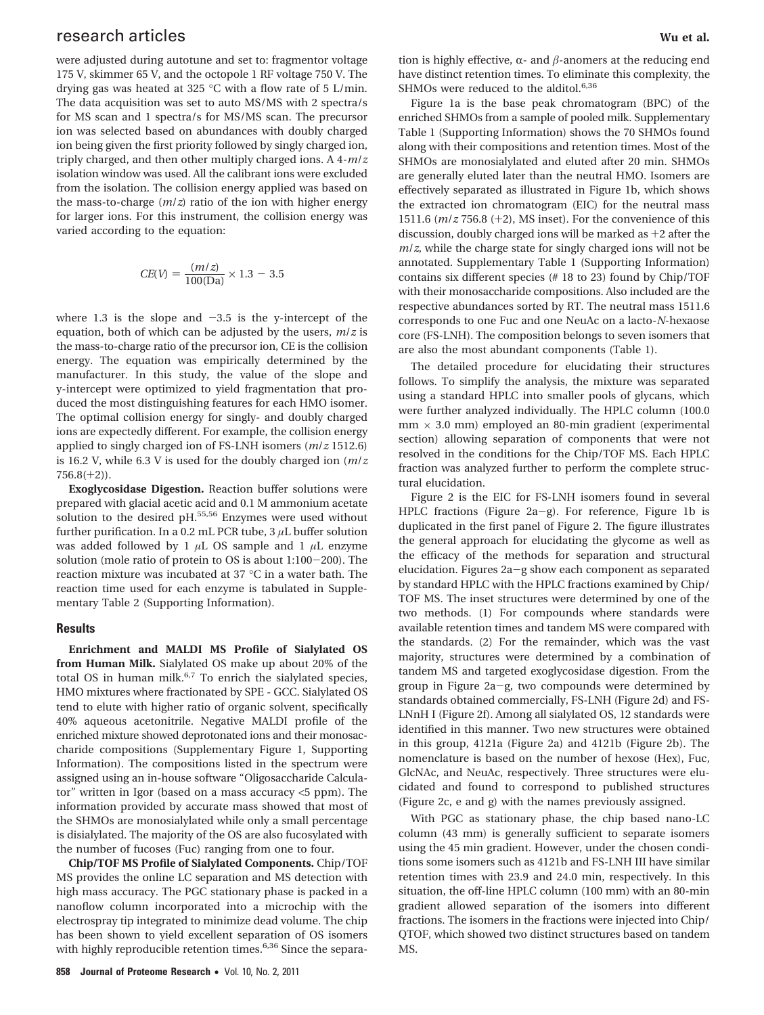# research articles **Wu et al.**

were adjusted during autotune and set to: fragmentor voltage 175 V, skimmer 65 V, and the octopole 1 RF voltage 750 V. The drying gas was heated at 325 °C with a flow rate of 5 L/min. The data acquisition was set to auto MS/MS with 2 spectra/s for MS scan and 1 spectra/s for MS/MS scan. The precursor ion was selected based on abundances with doubly charged ion being given the first priority followed by singly charged ion, triply charged, and then other multiply charged ions. A 4-*m*/*z* isolation window was used. All the calibrant ions were excluded from the isolation. The collision energy applied was based on the mass-to-charge (*m*/*z*) ratio of the ion with higher energy for larger ions. For this instrument, the collision energy was varied according to the equation:

$$
CE(V) = \frac{(m/z)}{100(Da)} \times 1.3 - 3.5
$$

where 1.3 is the slope and  $-3.5$  is the y-intercept of the equation, both of which can be adjusted by the users, *m*/*z* is the mass-to-charge ratio of the precursor ion, CE is the collision energy. The equation was empirically determined by the manufacturer. In this study, the value of the slope and y-intercept were optimized to yield fragmentation that produced the most distinguishing features for each HMO isomer. The optimal collision energy for singly- and doubly charged ions are expectedly different. For example, the collision energy applied to singly charged ion of FS-LNH isomers (*m*/*z* 1512.6) is 16.2 V, while 6.3 V is used for the doubly charged ion (*m*/*z*  $756.8(+2)$ .

**Exoglycosidase Digestion.** Reaction buffer solutions were prepared with glacial acetic acid and 0.1 M ammonium acetate solution to the desired pH.<sup>55,56</sup> Enzymes were used without further purification. In a 0.2 mL PCR tube, 3 *µ*L buffer solution was added followed by 1 *µ*L OS sample and 1 *µ*L enzyme solution (mole ratio of protein to OS is about 1:100-200). The reaction mixture was incubated at 37 °C in a water bath. The reaction time used for each enzyme is tabulated in Supplementary Table 2 (Supporting Information).

## **Results**

**Enrichment and MALDI MS Profile of Sialylated OS from Human Milk.** Sialylated OS make up about 20% of the total OS in human milk.<sup>6,7</sup> To enrich the sialylated species, HMO mixtures where fractionated by SPE - GCC. Sialylated OS tend to elute with higher ratio of organic solvent, specifically 40% aqueous acetonitrile. Negative MALDI profile of the enriched mixture showed deprotonated ions and their monosaccharide compositions (Supplementary Figure 1, Supporting Information). The compositions listed in the spectrum were assigned using an in-house software "Oligosaccharide Calculator" written in Igor (based on a mass accuracy <5 ppm). The information provided by accurate mass showed that most of the SHMOs are monosialylated while only a small percentage is disialylated. The majority of the OS are also fucosylated with the number of fucoses (Fuc) ranging from one to four.

**Chip/TOF MS Profile of Sialylated Components.** Chip/TOF MS provides the online LC separation and MS detection with high mass accuracy. The PGC stationary phase is packed in a nanoflow column incorporated into a microchip with the electrospray tip integrated to minimize dead volume. The chip has been shown to yield excellent separation of OS isomers with highly reproducible retention times.<sup>6,36</sup> Since the separa-

tion is highly effective,  $\alpha$ - and  $\beta$ -anomers at the reducing end have distinct retention times. To eliminate this complexity, the SHMOs were reduced to the alditol.<sup>6,36</sup>

Figure 1a is the base peak chromatogram (BPC) of the enriched SHMOs from a sample of pooled milk. Supplementary Table 1 (Supporting Information) shows the 70 SHMOs found along with their compositions and retention times. Most of the SHMOs are monosialylated and eluted after 20 min. SHMOs are generally eluted later than the neutral HMO. Isomers are effectively separated as illustrated in Figure 1b, which shows the extracted ion chromatogram (EIC) for the neutral mass 1511.6 (*m*/*<sup>z</sup>* 756.8 (+2), MS inset). For the convenience of this discussion, doubly charged ions will be marked as +2 after the *m*/*z*, while the charge state for singly charged ions will not be annotated. Supplementary Table 1 (Supporting Information) contains six different species (# 18 to 23) found by Chip/TOF with their monosaccharide compositions. Also included are the respective abundances sorted by RT. The neutral mass 1511.6 corresponds to one Fuc and one NeuAc on a lacto-*N*-hexaose core (FS-LNH). The composition belongs to seven isomers that are also the most abundant components (Table 1).

The detailed procedure for elucidating their structures follows. To simplify the analysis, the mixture was separated using a standard HPLC into smaller pools of glycans, which were further analyzed individually. The HPLC column (100.0  $mm \times 3.0$  mm) employed an 80-min gradient (experimental section) allowing separation of components that were not resolved in the conditions for the Chip/TOF MS. Each HPLC fraction was analyzed further to perform the complete structural elucidation.

Figure 2 is the EIC for FS-LNH isomers found in several HPLC fractions (Figure 2a-g). For reference, Figure 1b is duplicated in the first panel of Figure 2. The figure illustrates the general approach for elucidating the glycome as well as the efficacy of the methods for separation and structural elucidation. Figures 2a-g show each component as separated by standard HPLC with the HPLC fractions examined by Chip/ TOF MS. The inset structures were determined by one of the two methods. (1) For compounds where standards were available retention times and tandem MS were compared with the standards. (2) For the remainder, which was the vast majority, structures were determined by a combination of tandem MS and targeted exoglycosidase digestion. From the group in Figure 2a-g, two compounds were determined by standards obtained commercially, FS-LNH (Figure 2d) and FS-LNnH I (Figure 2f). Among all sialylated OS, 12 standards were identified in this manner. Two new structures were obtained in this group, 4121a (Figure 2a) and 4121b (Figure 2b). The nomenclature is based on the number of hexose (Hex), Fuc, GlcNAc, and NeuAc, respectively. Three structures were elucidated and found to correspond to published structures (Figure 2c, e and g) with the names previously assigned.

With PGC as stationary phase, the chip based nano-LC column (43 mm) is generally sufficient to separate isomers using the 45 min gradient. However, under the chosen conditions some isomers such as 4121b and FS-LNH III have similar retention times with 23.9 and 24.0 min, respectively. In this situation, the off-line HPLC column (100 mm) with an 80-min gradient allowed separation of the isomers into different fractions. The isomers in the fractions were injected into Chip/ QTOF, which showed two distinct structures based on tandem MS.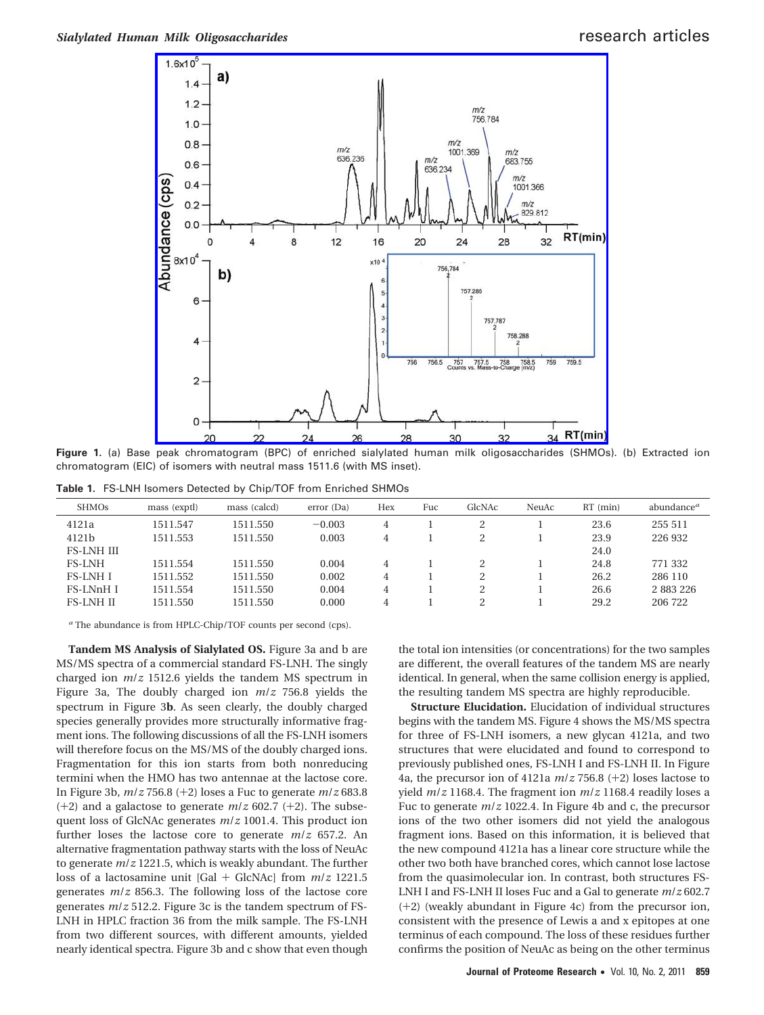

**Figure 1.** (a) Base peak chromatogram (BPC) of enriched sialylated human milk oligosaccharides (SHMOs). (b) Extracted ion chromatogram (EIC) of isomers with neutral mass 1511.6 (with MS inset).

**Table 1.** FS-LNH Isomers Detected by Chip/TOF from Enriched SHMOs

| <b>SHMOS</b>      | mass (exptl) | mass (calcd) | error (Da) | Hex | Fuc | GlcNAc | NeuAc | $RT$ (min) | abundance <sup>a</sup> |
|-------------------|--------------|--------------|------------|-----|-----|--------|-------|------------|------------------------|
| 4121a             | 1511.547     | 1511.550     | $-0.003$   | 4   |     |        |       | 23.6       | 255 511                |
| 4121b             | 1511.553     | 1511.550     | 0.003      | 4   |     |        |       | 23.9       | 226 932                |
| <b>FS-LNH III</b> |              |              |            |     |     |        |       | 24.0       |                        |
| <b>FS-LNH</b>     | 1511.554     | 1511.550     | 0.004      | 4   |     |        |       | 24.8       | 771 332                |
| <b>FS-LNH I</b>   | 1511.552     | 1511.550     | 0.002      | 4   |     | C.     |       | 26.2       | 286 110                |
| <b>FS-LNnHI</b>   | 1511.554     | 1511.550     | 0.004      | 4   |     |        |       | 26.6       | 2 883 226              |
| <b>FS-LNH II</b>  | 1511.550     | 1511.550     | 0.000      | 4   |     |        |       | 29.2       | 206 722                |
|                   |              |              |            |     |     |        |       |            |                        |

*<sup>a</sup>* The abundance is from HPLC-Chip/TOF counts per second (cps).

**Tandem MS Analysis of Sialylated OS.** Figure 3a and b are MS/MS spectra of a commercial standard FS-LNH. The singly charged ion *m*/*z* 1512.6 yields the tandem MS spectrum in Figure 3a, The doubly charged ion *m*/*z* 756.8 yields the spectrum in Figure 3**b**. As seen clearly, the doubly charged species generally provides more structurally informative fragment ions. The following discussions of all the FS-LNH isomers will therefore focus on the MS/MS of the doubly charged ions. Fragmentation for this ion starts from both nonreducing termini when the HMO has two antennae at the lactose core. In Figure 3b, *<sup>m</sup>*/*<sup>z</sup>* 756.8 (+2) loses a Fuc to generate *<sup>m</sup>*/*<sup>z</sup>* 683.8 (+2) and a galactose to generate *<sup>m</sup>*/*<sup>z</sup>* 602.7 (+2). The subsequent loss of GlcNAc generates *m*/*z* 1001.4. This product ion further loses the lactose core to generate *m*/*z* 657.2. An alternative fragmentation pathway starts with the loss of NeuAc to generate *m*/*z* 1221.5, which is weakly abundant. The further loss of a lactosamine unit [Gal + GlcNAc] from *<sup>m</sup>*/*<sup>z</sup>* 1221.5 generates *m*/*z* 856.3. The following loss of the lactose core generates *m*/*z* 512.2. Figure 3c is the tandem spectrum of FS-LNH in HPLC fraction 36 from the milk sample. The FS-LNH from two different sources, with different amounts, yielded nearly identical spectra. Figure 3b and c show that even though the total ion intensities (or concentrations) for the two samples are different, the overall features of the tandem MS are nearly identical. In general, when the same collision energy is applied, the resulting tandem MS spectra are highly reproducible.

**Structure Elucidation.** Elucidation of individual structures begins with the tandem MS. Figure 4 shows the MS/MS spectra for three of FS-LNH isomers, a new glycan 4121a, and two structures that were elucidated and found to correspond to previously published ones, FS-LNH I and FS-LNH II. In Figure 4a, the precursor ion of 4121a *<sup>m</sup>*/*<sup>z</sup>* 756.8 (+2) loses lactose to yield *m*/*z* 1168.4. The fragment ion *m*/*z* 1168.4 readily loses a Fuc to generate *m*/*z* 1022.4. In Figure 4b and c, the precursor ions of the two other isomers did not yield the analogous fragment ions. Based on this information, it is believed that the new compound 4121a has a linear core structure while the other two both have branched cores, which cannot lose lactose from the quasimolecular ion. In contrast, both structures FS-LNH I and FS-LNH II loses Fuc and a Gal to generate *m*/*z* 602.7 (+2) (weakly abundant in Figure 4c) from the precursor ion, consistent with the presence of Lewis a and x epitopes at one terminus of each compound. The loss of these residues further confirms the position of NeuAc as being on the other terminus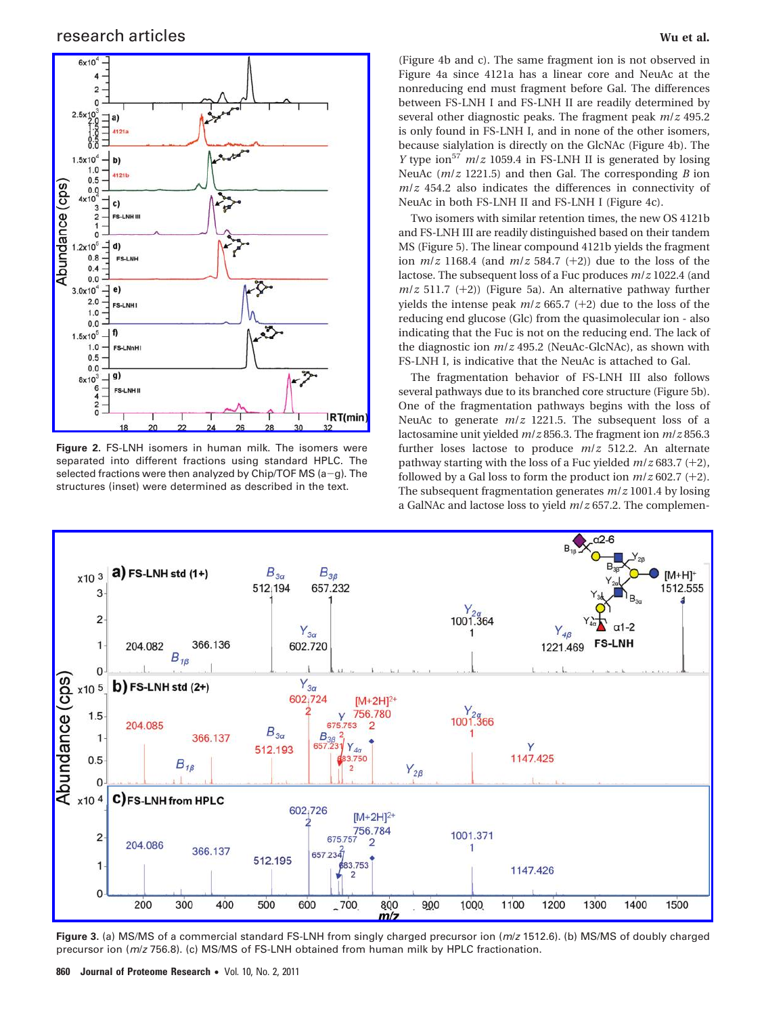# research articles **Wu et al.**



**Figure 2.** FS-LNH isomers in human milk. The isomers were separated into different fractions using standard HPLC. The selected fractions were then analyzed by Chip/TOF MS ( $a-g$ ). The structures (inset) were determined as described in the text.

(Figure 4b and c). The same fragment ion is not observed in Figure 4a since 4121a has a linear core and NeuAc at the nonreducing end must fragment before Gal. The differences between FS-LNH I and FS-LNH II are readily determined by several other diagnostic peaks. The fragment peak *m*/*z* 495.2 is only found in FS-LNH I, and in none of the other isomers, because sialylation is directly on the GlcNAc (Figure 4b). The *Y* type ion<sup>57</sup>  $m/z$  1059.4 in FS-LNH II is generated by losing NeuAc (*m*/*z* 1221.5) and then Gal. The corresponding *B* ion *m*/*z* 454.2 also indicates the differences in connectivity of NeuAc in both FS-LNH II and FS-LNH I (Figure 4c).

Two isomers with similar retention times, the new OS 4121b and FS-LNH III are readily distinguished based on their tandem MS (Figure 5). The linear compound 4121b yields the fragment ion *<sup>m</sup>*/*<sup>z</sup>* 1168.4 (and *<sup>m</sup>*/*<sup>z</sup>* 584.7 (+2)) due to the loss of the lactose. The subsequent loss of a Fuc produces *m*/*z* 1022.4 (and *<sup>m</sup>*/*<sup>z</sup>* 511.7 (+2)) (Figure 5a). An alternative pathway further yields the intense peak *<sup>m</sup>*/*<sup>z</sup>* 665.7 (+2) due to the loss of the reducing end glucose (Glc) from the quasimolecular ion - also indicating that the Fuc is not on the reducing end. The lack of the diagnostic ion *m*/*z* 495.2 (NeuAc-GlcNAc), as shown with FS-LNH I, is indicative that the NeuAc is attached to Gal.

The fragmentation behavior of FS-LNH III also follows several pathways due to its branched core structure (Figure 5b). One of the fragmentation pathways begins with the loss of NeuAc to generate *m*/*z* 1221.5. The subsequent loss of a lactosamine unit yielded *m*/*z* 856.3. The fragment ion *m*/*z* 856.3 further loses lactose to produce *m*/*z* 512.2. An alternate pathway starting with the loss of a Fuc yielded *<sup>m</sup>*/*<sup>z</sup>* 683.7 (+2), followed by a Gal loss to form the product ion *<sup>m</sup>*/*<sup>z</sup>* 602.7 (+2). The subsequent fragmentation generates *m*/*z* 1001.4 by losing a GalNAc and lactose loss to yield *m*/*z* 657.2. The complemen-



**Figure 3.** (a) MS/MS of a commercial standard FS-LNH from singly charged precursor ion (*m*/*z* 1512.6). (b) MS/MS of doubly charged precursor ion (*m*/*z* 756.8). (c) MS/MS of FS-LNH obtained from human milk by HPLC fractionation.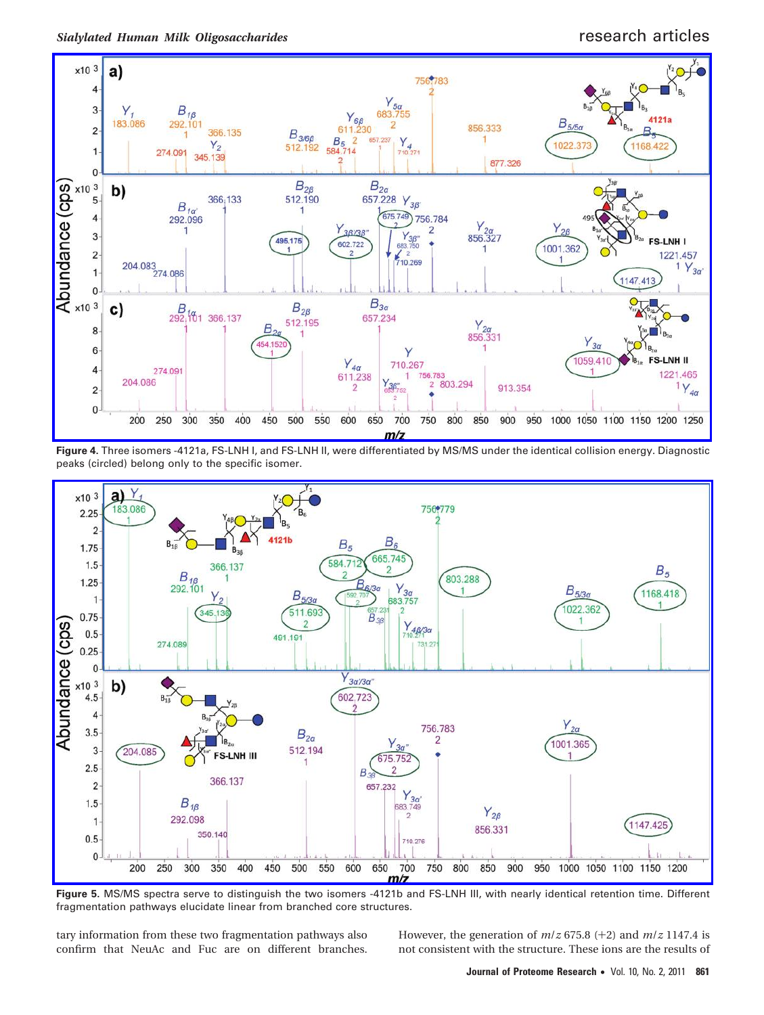*Sialylated Human Milk Oligosaccharides* research articles



**Figure 4.** Three isomers -4121a, FS-LNH I, and FS-LNH II, were differentiated by MS/MS under the identical collision energy. Diagnostic peaks (circled) belong only to the specific isomer.



**Figure 5.** MS/MS spectra serve to distinguish the two isomers -4121b and FS-LNH III, with nearly identical retention time. Different fragmentation pathways elucidate linear from branched core structures.

tary information from these two fragmentation pathways also confirm that NeuAc and Fuc are on different branches. However, the generation of  $m/z$  675.8 (+2) and  $m/z$  1147.4 is not consistent with the structure. These ions are the results of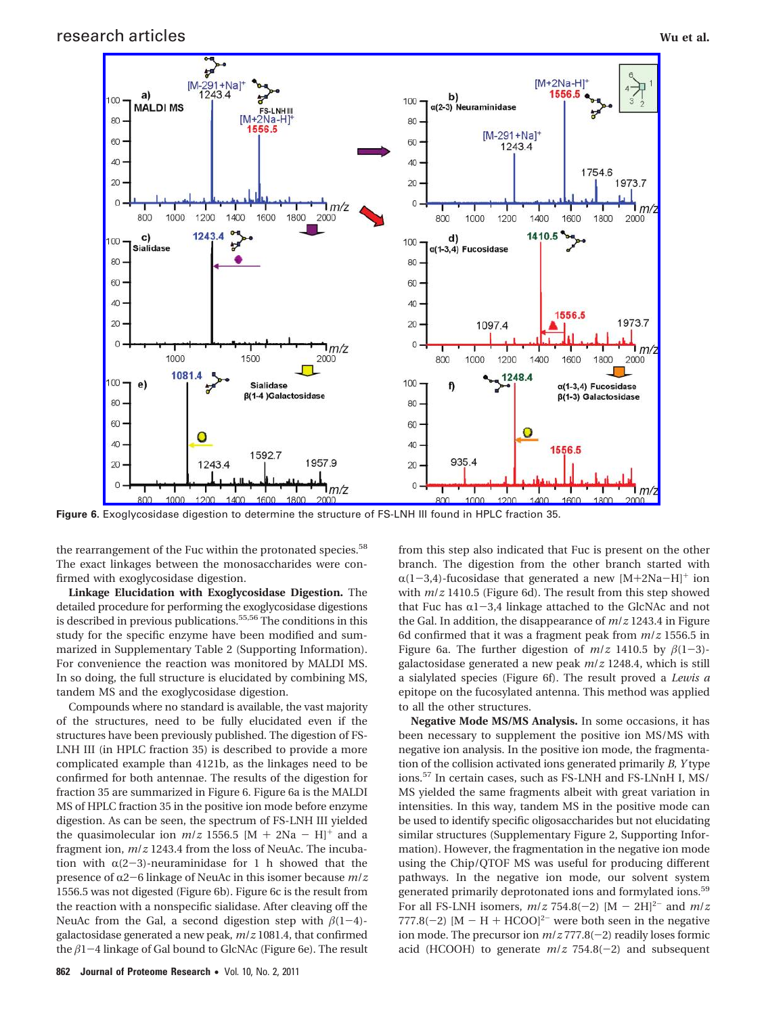

**Figure 6.** Exoglycosidase digestion to determine the structure of FS-LNH III found in HPLC fraction 35.

the rearrangement of the Fuc within the protonated species.<sup>58</sup> The exact linkages between the monosaccharides were confirmed with exoglycosidase digestion.

**Linkage Elucidation with Exoglycosidase Digestion.** The detailed procedure for performing the exoglycosidase digestions is described in previous publications.<sup>55,56</sup> The conditions in this study for the specific enzyme have been modified and summarized in Supplementary Table 2 (Supporting Information). For convenience the reaction was monitored by MALDI MS. In so doing, the full structure is elucidated by combining MS, tandem MS and the exoglycosidase digestion.

Compounds where no standard is available, the vast majority of the structures, need to be fully elucidated even if the structures have been previously published. The digestion of FS-LNH III (in HPLC fraction 35) is described to provide a more complicated example than 4121b, as the linkages need to be confirmed for both antennae. The results of the digestion for fraction 35 are summarized in Figure 6. Figure 6a is the MALDI MS of HPLC fraction 35 in the positive ion mode before enzyme digestion. As can be seen, the spectrum of FS-LNH III yielded the quasimolecular ion  $m/z$  1556.5 [M + 2Na - H]<sup>+</sup> and a fragment ion, *m*/*z* 1243.4 from the loss of NeuAc. The incubation with  $\alpha(2-3)$ -neuraminidase for 1 h showed that the presence of α2-6 linkage of NeuAc in this isomer because  $m/z$ 1556.5 was not digested (Figure 6b). Figure 6c is the result from the reaction with a nonspecific sialidase. After cleaving off the NeuAc from the Gal, a second digestion step with  $\beta(1-4)$ galactosidase generated a new peak, *m*/*z* 1081.4, that confirmed the  $\beta$ 1-4 linkage of Gal bound to GlcNAc (Figure 6e). The result from this step also indicated that Fuc is present on the other branch. The digestion from the other branch started with  $\alpha(1-3,4)$ -fucosidase that generated a new [M+2Na-H]<sup>+</sup> ion with *m*/*z* 1410.5 (Figure 6d). The result from this step showed that Fuc has  $\alpha$ 1-3,4 linkage attached to the GlcNAc and not the Gal. In addition, the disappearance of *m*/*z* 1243.4 in Figure 6d confirmed that it was a fragment peak from *m*/*z* 1556.5 in Figure 6a. The further digestion of  $m/z$  1410.5 by  $\beta(1-3)$ galactosidase generated a new peak *m*/*z* 1248.4, which is still a sialylated species (Figure 6f). The result proved a *Lewis a* epitope on the fucosylated antenna. This method was applied to all the other structures.

**Negative Mode MS/MS Analysis.** In some occasions, it has been necessary to supplement the positive ion MS/MS with negative ion analysis. In the positive ion mode, the fragmentation of the collision activated ions generated primarily *B, Y* type ions.<sup>57</sup> In certain cases, such as FS-LNH and FS-LNnH I, MS/ MS yielded the same fragments albeit with great variation in intensities. In this way, tandem MS in the positive mode can be used to identify specific oligosaccharides but not elucidating similar structures (Supplementary Figure 2, Supporting Information). However, the fragmentation in the negative ion mode using the Chip/QTOF MS was useful for producing different pathways. In the negative ion mode, our solvent system generated primarily deprotonated ions and formylated ions.<sup>59</sup> For all FS-LNH isomers,  $m/z$  754.8(-2)  $[M - 2H]^{2-}$  and  $m/z$ 777.8(-2)  $[M - H + HCOO]<sup>2</sup>$  were both seen in the negative ion mode. The precursor ion  $m/z$  777.8(-2) readily loses formic acid (HCOOH) to generate *<sup>m</sup>*/*<sup>z</sup>* 754.8(-2) and subsequent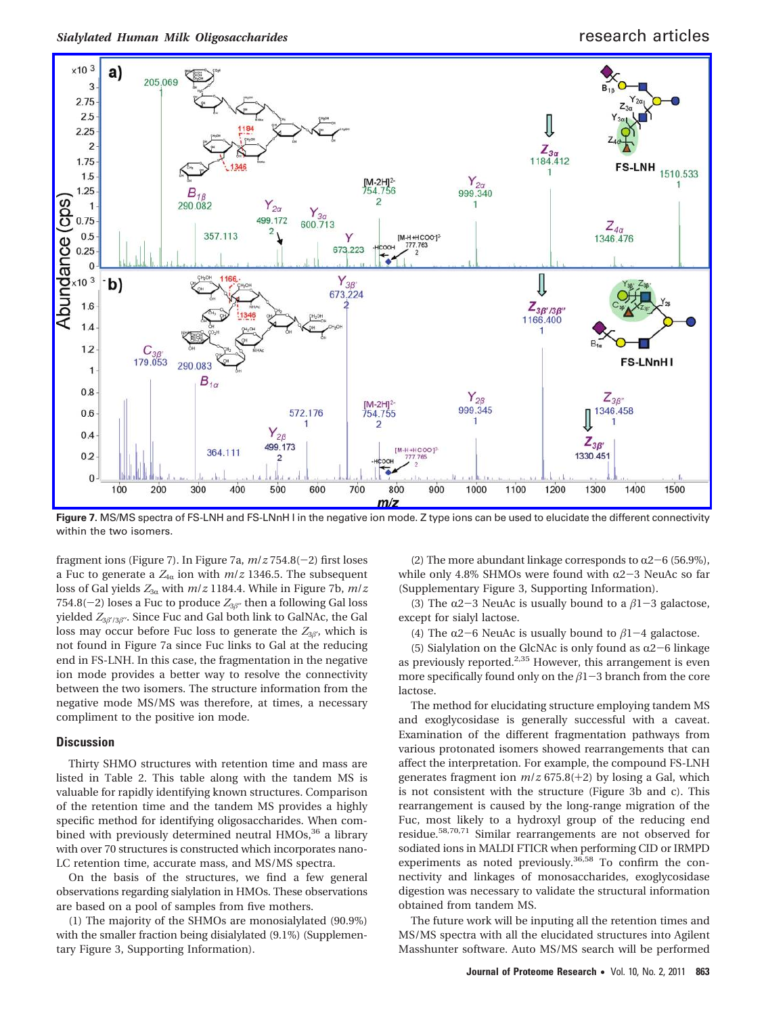

**Figure 7.** MS/MS spectra of FS-LNH and FS-LNnH I in the negative ion mode. Z type ions can be used to elucidate the different connectivity within the two isomers.

fragment ions (Figure 7). In Figure 7a, *<sup>m</sup>*/*<sup>z</sup>* 754.8(-2) first loses a Fuc to generate a  $Z_{4\alpha}$  ion with  $m/z$  1346.5. The subsequent loss of Gal yields  $Z_{3\alpha}$  with  $m/z$  1184.4. While in Figure 7b,  $m/z$ 754.8( $-2$ ) loses a Fuc to produce  $Z_{3\beta}$ <sup>'</sup> then a following Gal loss yielded  $Z_{3\beta'3\beta''}$ . Since Fuc and Gal both link to GalNAc, the Gal loss may occur before Fuc loss to generate the  $Z_{3\beta}$ , which is not found in Figure 7a since Fuc links to Gal at the reducing end in FS-LNH. In this case, the fragmentation in the negative ion mode provides a better way to resolve the connectivity between the two isomers. The structure information from the negative mode MS/MS was therefore, at times, a necessary compliment to the positive ion mode.

## **Discussion**

Thirty SHMO structures with retention time and mass are listed in Table 2. This table along with the tandem MS is valuable for rapidly identifying known structures. Comparison of the retention time and the tandem MS provides a highly specific method for identifying oligosaccharides. When combined with previously determined neutral HMOs,<sup>36</sup> a library with over 70 structures is constructed which incorporates nano-LC retention time, accurate mass, and MS/MS spectra.

On the basis of the structures, we find a few general observations regarding sialylation in HMOs. These observations are based on a pool of samples from five mothers.

(1) The majority of the SHMOs are monosialylated (90.9%) with the smaller fraction being disialylated (9.1%) (Supplementary Figure 3, Supporting Information).

(2) The more abundant linkage corresponds to  $\alpha$ 2-6 (56.9%), while only 4.8% SHMOs were found with  $\alpha$ 2-3 NeuAc so far (Supplementary Figure 3, Supporting Information).

(3) The  $\alpha$ 2-3 NeuAc is usually bound to a  $\beta$ 1-3 galactose, except for sialyl lactose.

(4) The  $\alpha$ 2-6 NeuAc is usually bound to  $\beta$ 1-4 galactose.

(5) Sialylation on the GlcNAc is only found as  $\alpha$ 2-6 linkage as previously reported.<sup>2,35</sup> However, this arrangement is even more specifically found only on the  $\beta$ 1-3 branch from the core lactose.

The method for elucidating structure employing tandem MS and exoglycosidase is generally successful with a caveat. Examination of the different fragmentation pathways from various protonated isomers showed rearrangements that can affect the interpretation. For example, the compound FS-LNH generates fragment ion *<sup>m</sup>*/*<sup>z</sup>* 675.8(+2) by losing a Gal, which is not consistent with the structure (Figure 3b and c). This rearrangement is caused by the long-range migration of the Fuc, most likely to a hydroxyl group of the reducing end residue.58,70,71 Similar rearrangements are not observed for sodiated ions in MALDI FTICR when performing CID or IRMPD experiments as noted previously.<sup>36,58</sup> To confirm the connectivity and linkages of monosaccharides, exoglycosidase digestion was necessary to validate the structural information obtained from tandem MS.

The future work will be inputing all the retention times and MS/MS spectra with all the elucidated structures into Agilent Masshunter software. Auto MS/MS search will be performed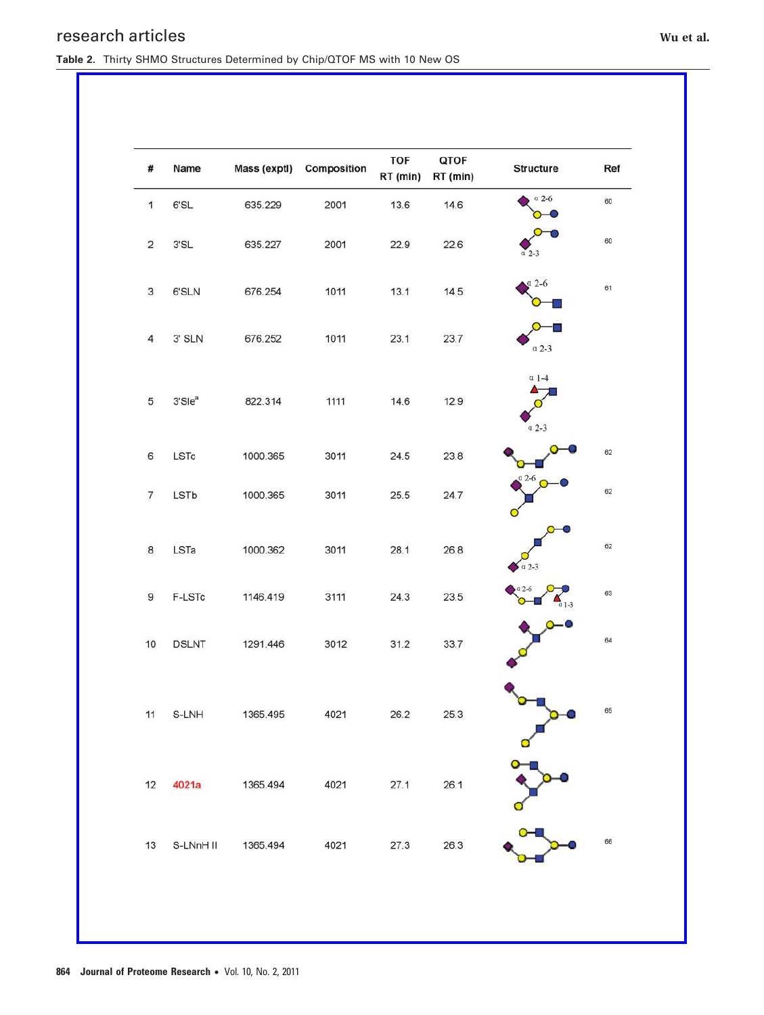# research articles **Wu et al. Wu et al. Wu et al. Wu et al. Wu et al.**

**Table 2.** Thirty SHMO Structures Determined by Chip/QTOF MS with 10 New OS

| #              | Name               | Mass (exptl) | Composition | TOF<br>RT (min) | QTOF<br>RT (min) | <b>Structure</b>   | Ref |
|----------------|--------------------|--------------|-------------|-----------------|------------------|--------------------|-----|
| $\mathbf{1}$   | 6'SL               | 635.229      | 2001        | 13.6            | 14.6             | $a$ 2-6            | 60  |
| $\mathbf 2$    | $3'SL$             | 635.227      | 2001        | 22.9            | 22.6             | $\alpha$ 2-3       | 60  |
| 3              | 6'SLN              | 676.254      | 1011        | 13.1            | 14.5             | $a$ 2-6            | 61  |
| $\overline{4}$ | $3'$ SLN           | 676.252      | 1011        | 23.1            | 23.7             | $\alpha$ 2-3       |     |
| 5              | 3'Sle <sup>a</sup> | 822.314      | 1111        | 14.6            | 12.9             | $a$ 1-4<br>$a$ 2-3 |     |
| 6              | LSTc               | 1000.365     | 3011        | 24.5            | 23.8             |                    | 62  |
| 7              | LSTb               | 1000.365     | 3011        | 25.5            | 24.7             | $a$ 2-6            | 62  |
| 8              | LSTa               | 1000.362     | 3011        | 28.1            | 26.8             | $a$ 2-3            | 62  |
| 9              | F-LSTc             | 1146.419     | 3111        | 24.3            | 23.5             | $2 - 6$<br>$1-3$   | 63  |
| 10             | <b>DSLNT</b>       | 1291.446     | 3012        | 31.2            | 33.7             |                    | 64  |
| 11             | S-LNH              | 1365.495     | 4021        | 26.2            | 25.3             |                    | 65  |
| 12             | 4021a              | 1365.494     | 4021        | 27.1            | 26.1             |                    |     |
| 13             | S-LNnH II          | 1365.494     | 4021        | 27.3            | 26.3             |                    | 66  |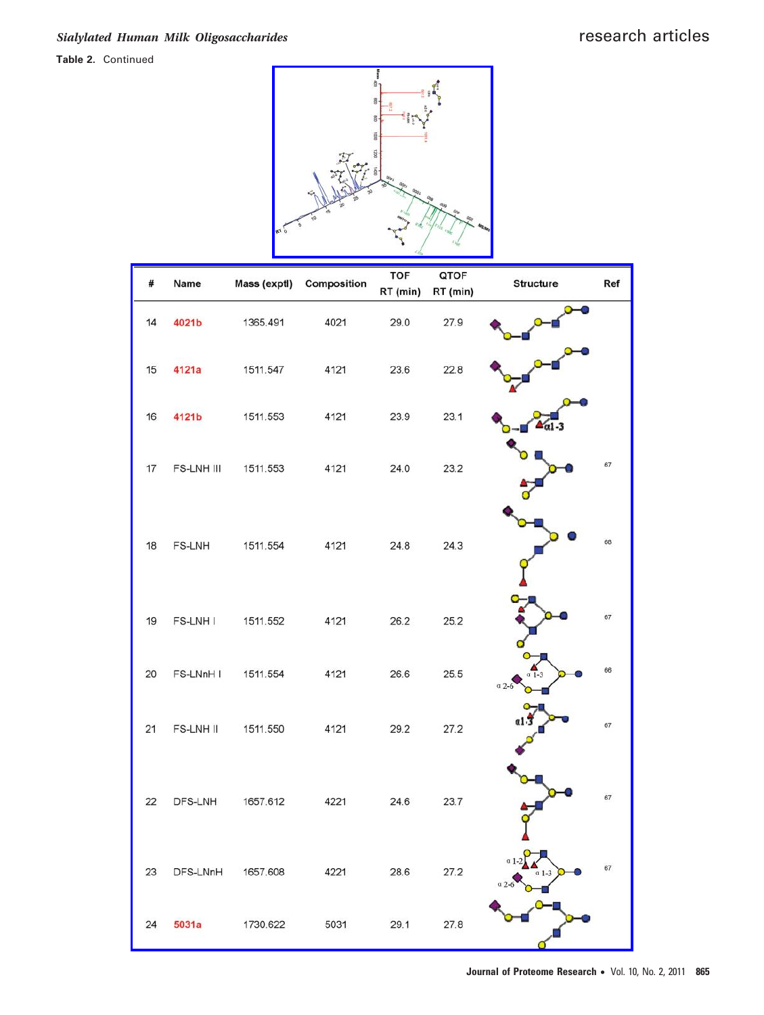## **Table 2.** Continued



| #  | Name       | Mass (exptl)      | Composition | <b>TOF</b> | QTOF     | <b>Structure</b> | Ref |
|----|------------|-------------------|-------------|------------|----------|------------------|-----|
|    |            |                   |             | RT (min)   | RT (min) |                  |     |
| 14 | 4021b      | 1365.491          | 4021        | 29.0       | 27.9     |                  |     |
| 15 | 4121a      | 1511.547          | 4121        | 23.6       | 22.8     |                  |     |
| 16 | 4121b      | 1511.553          | 4121        | 23.9       | 23.1     |                  |     |
| 17 | FS-LNH III | 1511.553          | 4121        | 24.0       | 23.2     |                  | 67  |
| 18 | FS-LNH     | 1511.554          | 4121        | 24.8       | 24.3     |                  | 68  |
| 19 | FS-LNH I   | 1511.552          | 4121        | 26.2       | 25.2     |                  | 67  |
| 20 | FS-LNnH I  | 1511.554          | 4121        | 26.6       | 25.5     | a <sub>2</sub>   | 66  |
| 21 | FS-LNH II  | 1511.550          | 4121        | 29.2       | 27.2     |                  | 67  |
| 22 | DFS-LNH    | 1657.612          | 4221        | 24.6       | 23.7     |                  | 67  |
| 23 |            | DFS-LNnH 1657.608 | 4221        | 28.6       | 27.2     |                  | 67  |
| 24 | 5031a      | 1730.622          | 5031        | 29.1       | 27.8     |                  |     |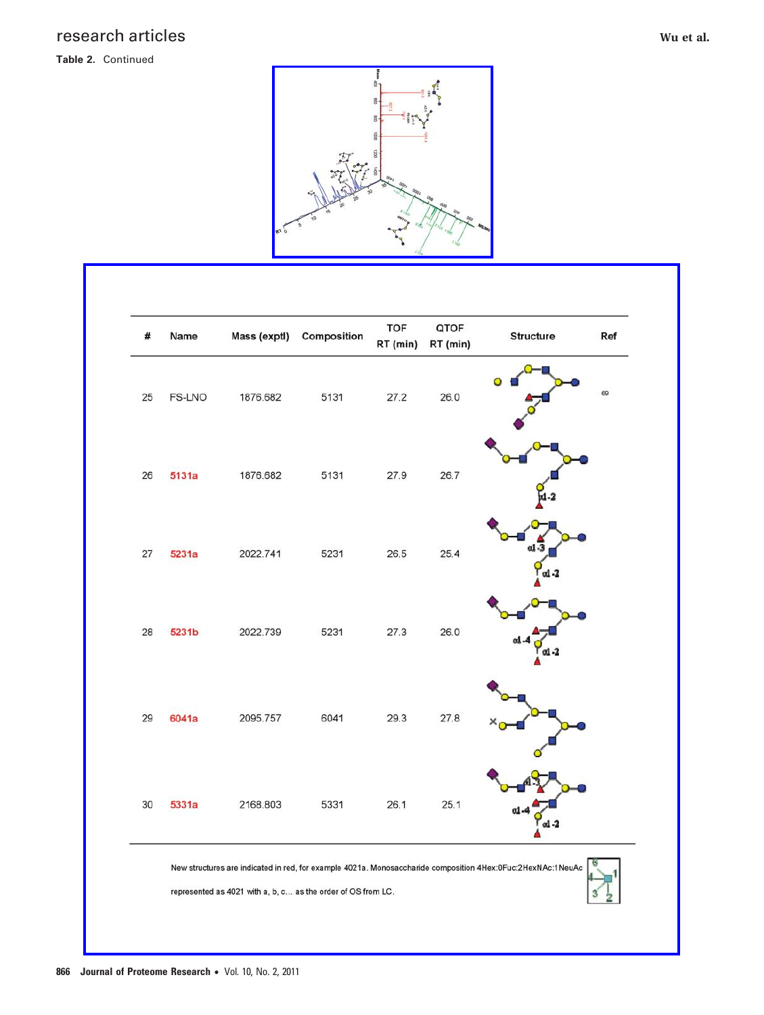# research articles **Wu et al. Wu et al. Wu et al. Wu et al. Wu et al. Wu et al.**

## **Table 2.** Continued



| #  | Name   | Mass (exptl) | Composition | <b>TOF</b><br>RT (min) | QTOF<br>RT (min) | Structure<br>Ref |
|----|--------|--------------|-------------|------------------------|------------------|------------------|
| 25 | FS-LNO | 1876.682     | 5131        | 27.2                   | 26.0             | 69               |
| 26 | 5131a  | 1876.682     | 5131        | 27.9                   | 26.7             |                  |
| 27 | 5231a  | 2022.741     | 5231        | 26.5                   | 25.4             | al -3            |
| 28 | 5231b  | 2022.739     | 5231        | 27.3                   | 26.0             |                  |
| 29 | 6041a  | 2095.757     | 6041        | 29.3                   | 27.8             |                  |
| 30 | 5331a  | 2168.803     | 5331        | 26.1                   | 25.1             |                  |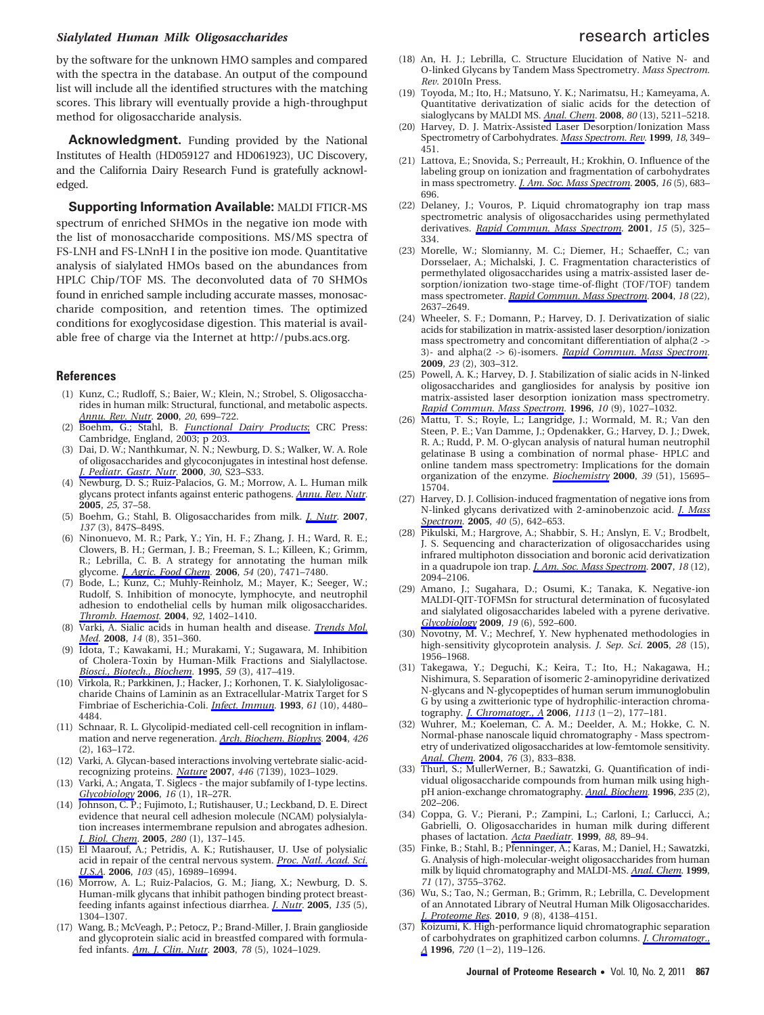# *Sialylated Human Milk Oligosaccharides* research articles

by the software for the unknown HMO samples and compared with the spectra in the database. An output of the compound list will include all the identified structures with the matching scores. This library will eventually provide a high-throughput method for oligosaccharide analysis.

Acknowledgment. Funding provided by the National Institutes of Health (HD059127 and HD061923), UC Discovery, and the California Dairy Research Fund is gratefully acknowledged.

**Supporting Information Available:** MALDI FTICR-MS spectrum of enriched SHMOs in the negative ion mode with the list of monosaccharide compositions. MS/MS spectra of FS-LNH and FS-LNnH I in the positive ion mode. Quantitative analysis of sialylated HMOs based on the abundances from HPLC Chip/TOF MS. The deconvoluted data of 70 SHMOs found in enriched sample including accurate masses, monosaccharide composition, and retention times. The optimized conditions for exoglycosidase digestion. This material is available free of charge via the Internet at http://pubs.acs.org.

### **References**

- (1) Kunz, C.; Rudloff, S.; Baier, W.; Klein, N.; Strobel, S. Oligosaccharides in human milk: Structural, functional, and metabolic aspects. *Annu. Rev. Nutr.* **2000**, *20*, 699–722.
- (2) Boehm, G.; Stahl, B. *Functional Dairy Products*; CRC Press: Cambridge, England, 2003; p 203.
- (3) Dai, D. W.; Nanthkumar, N. N.; Newburg, D. S.; Walker, W. A. Role of oligosaccharides and glycoconjugates in intestinal host defense. *J. Pediatr. Gastr. Nutr.* **2000**, *30*, S23–S33.
- (4) Newburg, D. S.; Ruiz-Palacios, G. M.; Morrow, A. L. Human milk glycans protect infants against enteric pathogens. *Annu. Rev. Nutr.* **2005**, *25*, 37–58.
- (5) Boehm, G.; Stahl, B. Oligosaccharides from milk. *J. Nutr.* **2007**, *137* (3), 847S–849S.
- (6) Ninonuevo, M. R.; Park, Y.; Yin, H. F.; Zhang, J. H.; Ward, R. E.; Clowers, B. H.; German, J. B.; Freeman, S. L.; Killeen, K.; Grimm, R.; Lebrilla, C. B. A strategy for annotating the human milk glycome. *J. Agric. Food Chem.* **2006**, *54* (20), 7471–7480.
- (7) Bode, L.; Kunz, C.; Muhly-Reinholz, M.; Mayer, K.; Seeger, W.; Rudolf, S. Inhibition of monocyte, lymphocyte, and neutrophil adhesion to endothelial cells by human milk oligosaccharides. *Thromb. Haemost.* **2004**, *92*, 1402–1410.
- (8) Varki, A. Sialic acids in human health and disease. *Trends Mol. Med.* **2008**, *14* (8), 351–360.
- (9) Idota, T.; Kawakami, H.; Murakami, Y.; Sugawara, M. Inhibition of Cholera-Toxin by Human-Milk Fractions and Sialyllactose. *Biosci., Biotech., Biochem.* **1995**, *59* (3), 417–419.
- (10) Virkola, R.; Parkkinen, J.; Hacker, J.; Korhonen, T. K. Sialyloligosaccharide Chains of Laminin as an Extracellular-Matrix Target for S Fimbriae of Escherichia-Coli. *Infect. Immun.* **1993**, *61* (10), 4480– 4484.
- (11) Schnaar, R. L. Glycolipid-mediated cell-cell recognition in inflammation and nerve regeneration. *Arch. Biochem. Biophys.* **2004**, *426* (2), 163–172.
- (12) Varki, A. Glycan-based interactions involving vertebrate sialic-acidrecognizing proteins. *Nature* **2007**, *446* (7139), 1023–1029.
- (13) Varki, A.; Angata, T. Siglecs the major subfamily of I-type lectins. *Glycobiology* **2006**, *16* (1), 1R–27R.
- (14) Johnson, C. P.; Fujimoto, I.; Rutishauser, U.; Leckband, D. E. Direct evidence that neural cell adhesion molecule (NCAM) polysialylation increases intermembrane repulsion and abrogates adhesion. *J. Biol. Chem.* **2005**, *280* (1), 137–145.
- (15) El Maarouf, A.; Petridis, A. K.; Rutishauser, U. Use of polysialic acid in repair of the central nervous system. *Proc. Natl. Acad. Sci. U.S.A.* **2006**, *103* (45), 16989–16994.
- (16) Morrow, A. L.; Ruiz-Palacios, G. M.; Jiang, X.; Newburg, D. S. Human-milk glycans that inhibit pathogen binding protect breastfeeding infants against infectious diarrhea. *J. Nutr.* **2005**, *135* (5), 1304–1307.
- (17) Wang, B.; McVeagh, P.; Petocz, P.; Brand-Miller, J. Brain ganglioside and glycoprotein sialic acid in breastfed compared with formulafed infants. *Am. J. Clin. Nutr.* **2003**, *78* (5), 1024–1029.
- (18) An, H. J.; Lebrilla, C. Structure Elucidation of Native N- and O-linked Glycans by Tandem Mass Spectrometry. *Mass Spectrom. Rev.* 2010In Press.
- (19) Toyoda, M.; Ito, H.; Matsuno, Y. K.; Narimatsu, H.; Kameyama, A. Quantitative derivatization of sialic acids for the detection of sialoglycans by MALDI MS. *Anal. Chem.* **2008**, *80* (13), 5211–5218.
- (20) Harvey, D. J. Matrix-Assisted Laser Desorption/Ionization Mass Spectrometry of Carbohydrates. *Mass Spectrom. Rev.* **1999**, *18*, 349– 451.
- (21) Lattova, E.; Snovida, S.; Perreault, H.; Krokhin, O. Influence of the labeling group on ionization and fragmentation of carbohydrates in mass spectrometry. *J. Am. Soc. Mass Spectrom.* **2005**, *16* (5), 683– 696.
- (22) Delaney, J.; Vouros, P. Liquid chromatography ion trap mass spectrometric analysis of oligosaccharides using permethylated derivatives. *Rapid Commun. Mass Spectrom.* **2001**, *15* (5), 325– 334.
- (23) Morelle, W.; Slomianny, M. C.; Diemer, H.; Schaeffer, C.; van Dorsselaer, A.; Michalski, J. C. Fragmentation characteristics of permethylated oligosaccharides using a matrix-assisted laser desorption/ionization two-stage time-of-flight (TOF/TOF) tandem mass spectrometer. *Rapid Commun. Mass Spectrom.* **2004**, *18* (22), 2637–2649.
- (24) Wheeler, S. F.; Domann, P.; Harvey, D. J. Derivatization of sialic acids for stabilization in matrix-assisted laser desorption/ionization mass spectrometry and concomitant differentiation of alpha(2 -> 3)- and alpha(2 -> 6)-isomers. *Rapid Commun. Mass Spectrom.* **2009**, *23* (2), 303–312.
- (25) Powell, A. K.; Harvey, D. J. Stabilization of sialic acids in N-linked oligosaccharides and gangliosides for analysis by positive ion matrix-assisted laser desorption ionization mass spectrometry. *Rapid Commun. Mass Spectrom.* **1996**, *10* (9), 1027–1032.
- (26) Mattu, T. S.; Royle, L.; Langridge, J.; Wormald, M. R.; Van den Steen, P. E.; Van Damme, J.; Opdenakker, G.; Harvey, D. J.; Dwek, R. A.; Rudd, P. M. O-glycan analysis of natural human neutrophil gelatinase B using a combination of normal phase- HPLC and online tandem mass spectrometry: Implications for the domain organization of the enzyme. *Biochemistry* **2000**, *39* (51), 15695– 15704.
- (27) Harvey, D. J. Collision-induced fragmentation of negative ions from N-linked glycans derivatized with 2-aminobenzoic acid. *J. Mass Spectrom.* **2005**, *40* (5), 642–653.
- (28) Pikulski, M.; Hargrove, A.; Shabbir, S. H.; Anslyn, E. V.; Brodbelt, J. S. Sequencing and characterization of oligosaccharides using infrared multiphoton dissociation and boronic acid derivatization in a quadrupole ion trap. *J. Am. Soc. Mass Spectrom.* **2007**, *18* (12), 2094–2106.
- (29) Amano, J.; Sugahara, D.; Osumi, K.; Tanaka, K. Negative-ion MALDI-QIT-TOFMSn for structural determination of fucosylated and sialylated oligosaccharides labeled with a pyrene derivative. *Glycobiology* **2009**, *19* (6), 592–600.
- (30) Novotny, M. V.; Mechref, Y. New hyphenated methodologies in high-sensitivity glycoprotein analysis. *J. Sep. Sci.* **2005**, *28* (15), 1956–1968.
- (31) Takegawa, Y.; Deguchi, K.; Keira, T.; Ito, H.; Nakagawa, H.; Nishimura, S. Separation of isomeric 2-aminopyridine derivatized N-glycans and N-glycopeptides of human serum immunoglobulin G by using a zwitterionic type of hydrophilic-interaction chroma-
- tography. *J. Chromatogr., A* **<sup>2006</sup>**, *<sup>1113</sup>* (1-2), 177–181. (32) Wuhrer, M.; Koeleman, C. A. M.; Deelder, A. M.; Hokke, C. N. Normal-phase nanoscale liquid chromatography - Mass spectrometry of underivatized oligosaccharides at low-femtomole sensitivity. *Anal. Chem.* **2004**, *76* (3), 833–838.
- (33) Thurl, S.; MullerWerner, B.; Sawatzki, G. Quantification of individual oligosaccharide compounds from human milk using highpH anion-exchange chromatography. *Anal. Biochem.* **1996**, *235* (2), 202–206.
- (34) Coppa, G. V.; Pierani, P.; Zampini, L.; Carloni, I.; Carlucci, A.; Gabrielli, O. Oligosaccharides in human milk during different phases of lactation. *Acta Paediatr.* **1999**, *88*, 89–94.
- (35) Finke, B.; Stahl, B.; Pfenninger, A.; Karas, M.; Daniel, H.; Sawatzki, G. Analysis of high-molecular-weight oligosaccharides from human milk by liquid chromatography and MALDI-MS. *Anal. Chem.* **1999**, *71* (17), 3755–3762.
- (36) Wu, S.; Tao, N.; German, B.; Grimm, R.; Lebrilla, C. Development of an Annotated Library of Neutral Human Milk Oligosaccharides. *J. Proteome Res.* **2010**, *9* (8), 4138–4151.
- (37) Koizumi, K. High-performance liquid chromatographic separation of carbohydrates on graphitized carbon columns. *J. Chromatogr., <sup>A</sup>* **<sup>1996</sup>**, *<sup>720</sup>* (1-2), 119–126.